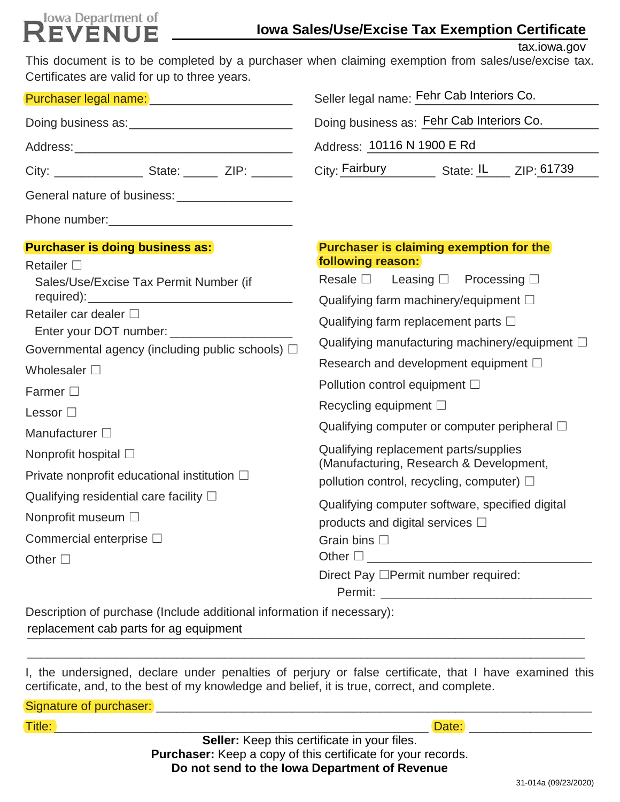# **Iowa Department of**

tax.iowa.gov

| Certificates are valid for up to three years.                                                                                                                                                 | This document is to be completed by a purchaser when claiming exemption from sales/use/excise tax. |  |  |
|-----------------------------------------------------------------------------------------------------------------------------------------------------------------------------------------------|----------------------------------------------------------------------------------------------------|--|--|
| Purchaser legal name: _________________________                                                                                                                                               | Seller legal name: Fehr Cab Interiors Co.                                                          |  |  |
|                                                                                                                                                                                               | Doing business as: Fehr Cab Interiors Co.                                                          |  |  |
|                                                                                                                                                                                               | Address: 10116 N 1900 E Rd                                                                         |  |  |
|                                                                                                                                                                                               | City: Fairbury State: IL ZIP: 61739                                                                |  |  |
| General nature of business:<br><u>Canadian mature of business:</u>                                                                                                                            |                                                                                                    |  |  |
|                                                                                                                                                                                               |                                                                                                    |  |  |
| <b>Purchaser is doing business as:</b>                                                                                                                                                        | <b>Purchaser is claiming exemption for the</b>                                                     |  |  |
| Retailer $\square$<br>Sales/Use/Excise Tax Permit Number (if                                                                                                                                  | following reason:<br>Resale $\square$ Leasing $\square$ Processing $\square$                       |  |  |
| Retailer car dealer □<br>Enter your DOT number: ____________________<br>Governmental agency (including public schools) $\Box$<br>Wholesaler $\square$<br>Farmer $\square$<br>Lessor $\square$ | Qualifying farm machinery/equipment $\square$<br>Qualifying farm replacement parts $\Box$          |  |  |
|                                                                                                                                                                                               | Qualifying manufacturing machinery/equipment $\Box$<br>Research and development equipment $\Box$   |  |  |
|                                                                                                                                                                                               | Pollution control equipment $\Box$<br>Recycling equipment $\square$                                |  |  |
| Manufacturer $\square$                                                                                                                                                                        | Qualifying computer or computer peripheral $\Box$                                                  |  |  |
| Nonprofit hospital $\square$                                                                                                                                                                  | Qualifying replacement parts/supplies<br>(Manufacturing, Research & Development,                   |  |  |
| Private nonprofit educational institution $\square$                                                                                                                                           | pollution control, recycling, computer) $\Box$                                                     |  |  |
| Qualifying residential care facility $\square$                                                                                                                                                | Qualifying computer software, specified digital                                                    |  |  |
| Nonprofit museum □                                                                                                                                                                            | products and digital services $\square$                                                            |  |  |
| Commercial enterprise $\Box$                                                                                                                                                                  | Grain bins $\square$                                                                               |  |  |
| Other $\square$                                                                                                                                                                               |                                                                                                    |  |  |
|                                                                                                                                                                                               | Direct Pay <sup>D</sup> Permit number required:                                                    |  |  |

Description of purchase (Include additional information if necessary): replacement cab parts for ag equipment entity and the set of the set of the set of the set of the set of the s

I, the undersigned, declare under penalties of perjury or false certificate, that I have examined this certificate, and, to the best of my knowledge and belief, it is true, correct, and complete.

\_\_\_\_\_\_\_\_\_\_\_\_\_\_\_\_\_\_\_\_\_\_\_\_\_\_\_\_\_\_\_\_\_\_\_\_\_\_\_\_\_\_\_\_\_\_\_\_\_\_\_\_\_\_\_\_\_\_\_\_\_\_\_\_\_\_\_\_\_\_\_\_\_\_\_\_\_\_\_\_\_\_

| Signature of purchaser:                                             |                                                     |       |  |
|---------------------------------------------------------------------|-----------------------------------------------------|-------|--|
| Title:                                                              |                                                     | Date: |  |
|                                                                     | <b>Seller:</b> Keep this certificate in your files. |       |  |
| <b>Purchaser:</b> Keep a copy of this certificate for your records. |                                                     |       |  |
|                                                                     | Be and some in the fame. Becoming and of Bernamics. |       |  |

**Do not send to the Iowa Department of Revenue**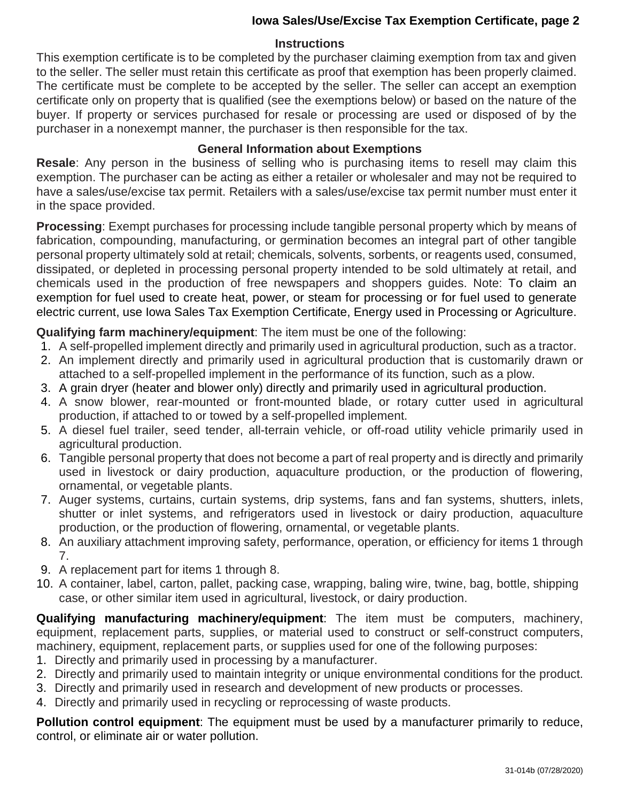### **Iowa Sales/Use/Excise Tax Exemption Certificate, page 2**

#### **Instructions**

This exemption certificate is to be completed by the purchaser claiming exemption from tax and given to the seller. The seller must retain this certificate as proof that exemption has been properly claimed. The certificate must be complete to be accepted by the seller. The seller can accept an exemption certificate only on property that is qualified (see the exemptions below) or based on the nature of the buyer. If property or services purchased for resale or processing are used or disposed of by the purchaser in a nonexempt manner, the purchaser is then responsible for the tax.

## **General Information about Exemptions**

**Resale**: Any person in the business of selling who is purchasing items to resell may claim this exemption. The purchaser can be acting as either a retailer or wholesaler and may not be required to have a sales/use/excise tax permit. Retailers with a sales/use/excise tax permit number must enter it in the space provided.

**Processing**: Exempt purchases for processing include tangible personal property which by means of fabrication, compounding, manufacturing, or germination becomes an integral part of other tangible personal property ultimately sold at retail; chemicals, solvents, sorbents, or reagents used, consumed, dissipated, or depleted in processing personal property intended to be sold ultimately at retail, and chemicals used in the production of free newspapers and shoppers guides. Note: To claim an exemption for fuel used to create heat, power, or steam for processing or for fuel used to generate electric current, use Iowa Sales Tax Exemption Certificate, Energy used in Processing or Agriculture.

**Qualifying farm machinery/equipment**: The item must be one of the following:

- 1. A self-propelled implement directly and primarily used in agricultural production, such as a tractor.
- 2. An implement directly and primarily used in agricultural production that is customarily drawn or attached to a self-propelled implement in the performance of its function, such as a plow.
- 3. A grain dryer (heater and blower only) directly and primarily used in agricultural production.
- 4. A snow blower, rear-mounted or front-mounted blade, or rotary cutter used in agricultural production, if attached to or towed by a self-propelled implement.
- 5. A diesel fuel trailer, seed tender, all-terrain vehicle, or off-road utility vehicle primarily used in agricultural production.
- 6. Tangible personal property that does not become a part of real property and is directly and primarily used in livestock or dairy production, aquaculture production, or the production of flowering, ornamental, or vegetable plants.
- 7. Auger systems, curtains, curtain systems, drip systems, fans and fan systems, shutters, inlets, shutter or inlet systems, and refrigerators used in livestock or dairy production, aquaculture production, or the production of flowering, ornamental, or vegetable plants.
- 8. An auxiliary attachment improving safety, performance, operation, or efficiency for items 1 through 7.
- 9. A replacement part for items 1 through 8.
- 10. A container, label, carton, pallet, packing case, wrapping, baling wire, twine, bag, bottle, shipping case, or other similar item used in agricultural, livestock, or dairy production.

**Qualifying manufacturing machinery/equipment**: The item must be computers, machinery, equipment, replacement parts, supplies, or material used to construct or self-construct computers, machinery, equipment, replacement parts, or supplies used for one of the following purposes:

- 1. Directly and primarily used in processing by a manufacturer.
- 2. Directly and primarily used to maintain integrity or unique environmental conditions for the product.
- 3. Directly and primarily used in research and development of new products or processes.
- 4. Directly and primarily used in recycling or reprocessing of waste products.

**Pollution control equipment**: The equipment must be used by a manufacturer primarily to reduce, control, or eliminate air or water pollution.